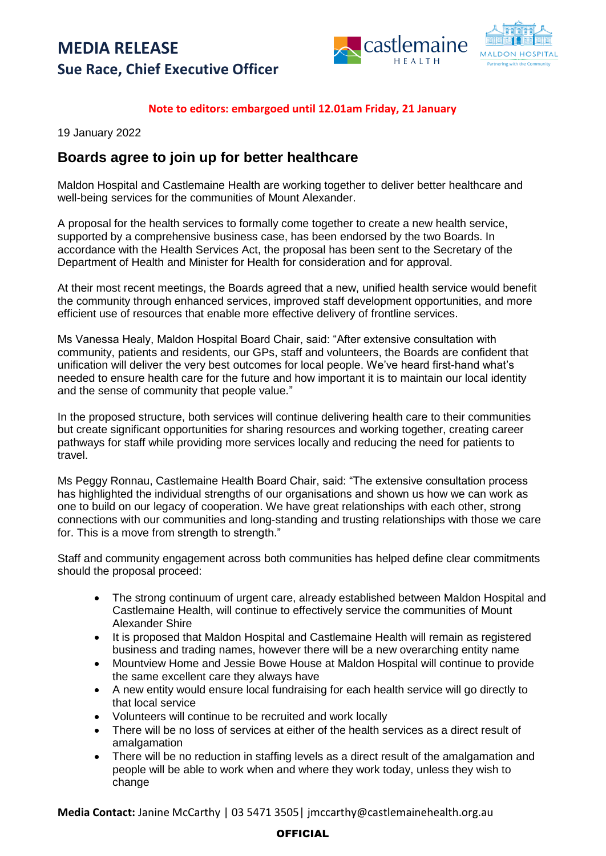## **MEDIA RELEASE Sue Race, Chief Executive Officer**





### **Note to editors: embargoed until 12.01am Friday, 21 January**

19 January 2022

## **Boards agree to join up for better healthcare**

Maldon Hospital and Castlemaine Health are working together to deliver better healthcare and well-being services for the communities of Mount Alexander.

A proposal for the health services to formally come together to create a new health service, supported by a comprehensive business case, has been endorsed by the two Boards. In accordance with the Health Services Act, the proposal has been sent to the Secretary of the Department of Health and Minister for Health for consideration and for approval.

At their most recent meetings, the Boards agreed that a new, unified health service would benefit the community through enhanced services, improved staff development opportunities, and more efficient use of resources that enable more effective delivery of frontline services.

Ms Vanessa Healy, Maldon Hospital Board Chair, said: "After extensive consultation with community, patients and residents, our GPs, staff and volunteers, the Boards are confident that unification will deliver the very best outcomes for local people. We've heard first-hand what's needed to ensure health care for the future and how important it is to maintain our local identity and the sense of community that people value."

In the proposed structure, both services will continue delivering health care to their communities but create significant opportunities for sharing resources and working together, creating career pathways for staff while providing more services locally and reducing the need for patients to travel.

Ms Peggy Ronnau, Castlemaine Health Board Chair, said: "The extensive consultation process has highlighted the individual strengths of our organisations and shown us how we can work as one to build on our legacy of cooperation. We have great relationships with each other, strong connections with our communities and long-standing and trusting relationships with those we care for. This is a move from strength to strength."

Staff and community engagement across both communities has helped define clear commitments should the proposal proceed:

- The strong continuum of urgent care, already established between Maldon Hospital and Castlemaine Health, will continue to effectively service the communities of Mount Alexander Shire
- It is proposed that Maldon Hospital and Castlemaine Health will remain as registered business and trading names, however there will be a new overarching entity name
- Mountview Home and Jessie Bowe House at Maldon Hospital will continue to provide the same excellent care they always have
- A new entity would ensure local fundraising for each health service will go directly to that local service
- Volunteers will continue to be recruited and work locally
- There will be no loss of services at either of the health services as a direct result of amalgamation
- There will be no reduction in staffing levels as a direct result of the amalgamation and people will be able to work when and where they work today, unless they wish to change

**Media Contact:** Janine McCarthy | 03 5471 3505| jmccarthy@castlemainehealth.org.au

#### **OFFICIAL**